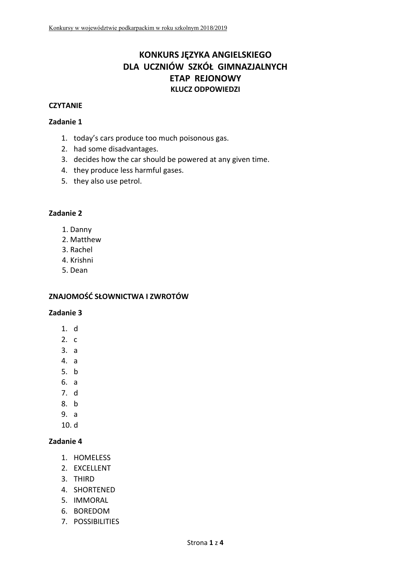# **KONKURS JĘZYKA ANGIELSKIEGO DLA UCZNIÓW SZKÓŁ GIMNAZJALNYCH ETAP REJONOWY KLUCZ ODPOWIEDZI**

#### **CZYTANIE**

#### **Zadanie 1**

- 1. today's cars produce too much poisonous gas.
- 2. had some disadvantages.
- 3. decides how the car should be powered at any given time.
- 4. they produce less harmful gases.
- 5. they also use petrol.

#### **Zadanie 2**

- 1. Danny
- 2. Matthew
- 3. Rachel
- 4. Krishni
- 5. Dean

#### **ZNAJOMOŚĆ SŁOWNICTWA I ZWROTÓW**

#### **Zadanie 3**

- 1. d
- $2. c$
- 3. a
- 4. a
- 5. b
- 6. a
- 7. d
- 8. b
- 9. a
- 10. d

- 1. HOMELESS
- 2. EXCELLENT
- 3. THIRD
- 4. SHORTENED
- 5. IMMORAL
- 6. BOREDOM
- 7. POSSIBILITIES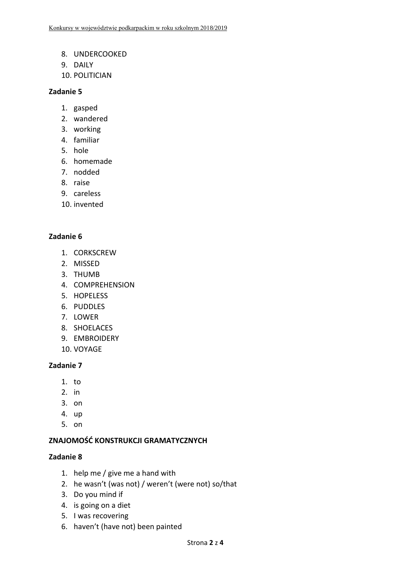- 8. UNDERCOOKED
- 9. DAILY
- 10. POLITICIAN

#### **Zadanie 5**

- 1. gasped
- 2. wandered
- 3. working
- 4. familiar
- 5. hole
- 6. homemade
- 7. nodded
- 8. raise
- 9. careless
- 10. invented

### **Zadanie 6**

- 1. CORKSCREW
- 2. MISSED
- 3. THUMB
- 4. COMPREHENSION
- 5. HOPELESS
- 6. PUDDLES
- 7. LOWER
- 8. SHOELACES
- 9. EMBROIDERY
- 10. VOYAGE

#### **Zadanie 7**

- 1. to
- 2. in
- 3. on
- 4. up
- 5. on

#### **ZNAJOMOŚĆ KONSTRUKCJI GRAMATYCZNYCH**

- 1. help me / give me a hand with
- 2. he wasn't (was not) / weren't (were not) so/that
- 3. Do you mind if
- 4. is going on a diet
- 5. I was recovering
- 6. haven't (have not) been painted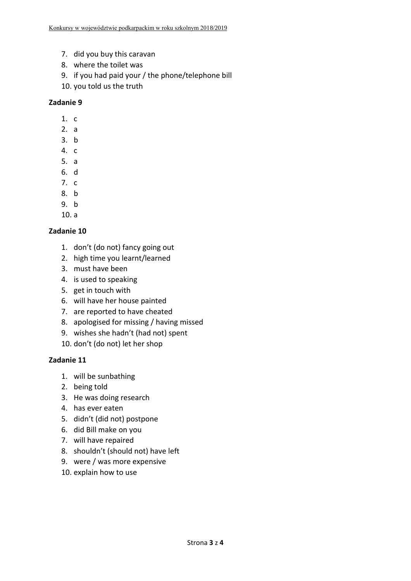- 7. did you buy this caravan
- 8. where the toilet was
- 9. if you had paid your / the phone/telephone bill
- 10. you told us the truth

### **Zadanie 9**

- 1. c
- 2. a
- 3. b
- 4. c
- 5. a
- 6. d
- 7. c
- 8. b
- 9. b
- 10. a

### **Zadanie 10**

- 1. don't (do not) fancy going out
- 2. high time you learnt/learned
- 3. must have been
- 4. is used to speaking
- 5. get in touch with
- 6. will have her house painted
- 7. are reported to have cheated
- 8. apologised for missing / having missed
- 9. wishes she hadn't (had not) spent
- 10. don't (do not) let her shop

- 1. will be sunbathing
- 2. being told
- 3. He was doing research
- 4. has ever eaten
- 5. didn't (did not) postpone
- 6. did Bill make on you
- 7. will have repaired
- 8. shouldn't (should not) have left
- 9. were / was more expensive
- 10. explain how to use